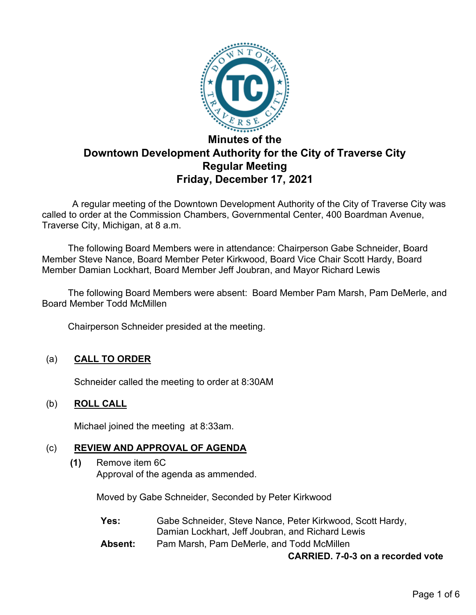

# **Minutes of the Downtown Development Authority for the City of Traverse City Regular Meeting Friday, December 17, 2021**

A regular meeting of the Downtown Development Authority of the City of Traverse City was called to order at the Commission Chambers, Governmental Center, 400 Boardman Avenue, Traverse City, Michigan, at 8 a.m.

The following Board Members were in attendance: Chairperson Gabe Schneider, Board Member Steve Nance, Board Member Peter Kirkwood, Board Vice Chair Scott Hardy, Board Member Damian Lockhart, Board Member Jeff Joubran, and Mayor Richard Lewis

The following Board Members were absent: Board Member Pam Marsh, Pam DeMerle, and Board Member Todd McMillen

Chairperson Schneider presided at the meeting.

# (a) **CALL TO ORDER**

Schneider called the meeting to order at 8:30AM

# (b) **ROLL CALL**

Michael joined the meeting at 8:33am.

#### (c) **REVIEW AND APPROVAL OF AGENDA**

**(1)** Remove item 6C Approval of the agenda as ammended.

Moved by Gabe Schneider, Seconded by Peter Kirkwood

**Yes:** Gabe Schneider, Steve Nance, Peter Kirkwood, Scott Hardy, Damian Lockhart, Jeff Joubran, and Richard Lewis

**Absent:** Pam Marsh, Pam DeMerle, and Todd McMillen

#### **CARRIED. 7-0-3 on a recorded vote**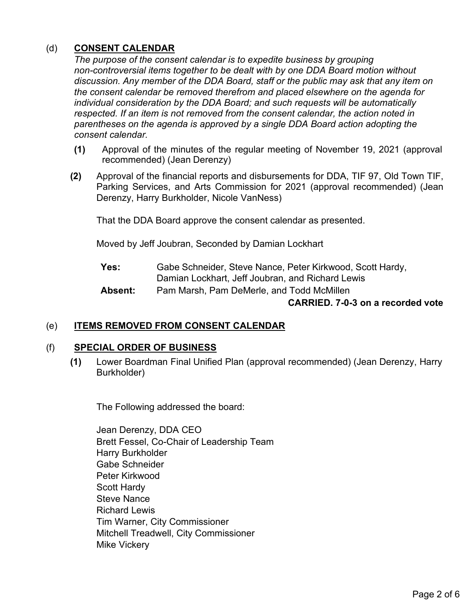# (d) **CONSENT CALENDAR**

*The purpose of the consent calendar is to expedite business by grouping non-controversial items together to be dealt with by one DDA Board motion without discussion. Any member of the DDA Board, staff or the public may ask that any item on the consent calendar be removed therefrom and placed elsewhere on the agenda for individual consideration by the DDA Board; and such requests will be automatically respected. If an item is not removed from the consent calendar, the action noted in parentheses on the agenda is approved by a single DDA Board action adopting the consent calendar.*

- **(1)** Approval of the minutes of the regular meeting of November 19, 2021 (approval recommended) (Jean Derenzy)
- **(2)** Approval of the financial reports and disbursements for DDA, TIF 97, Old Town TIF, Parking Services, and Arts Commission for 2021 (approval recommended) (Jean Derenzy, Harry Burkholder, Nicole VanNess)

That the DDA Board approve the consent calendar as presented.

Moved by Jeff Joubran, Seconded by Damian Lockhart

- **Yes:** Gabe Schneider, Steve Nance, Peter Kirkwood, Scott Hardy, Damian Lockhart, Jeff Joubran, and Richard Lewis
- **Absent:** Pam Marsh, Pam DeMerle, and Todd McMillen

#### **CARRIED. 7-0-3 on a recorded vote**

# (e) **ITEMS REMOVED FROM CONSENT CALENDAR**

#### (f) **SPECIAL ORDER OF BUSINESS**

**(1)** Lower Boardman Final Unified Plan (approval recommended) (Jean Derenzy, Harry Burkholder)

The Following addressed the board:

Jean Derenzy, DDA CEO Brett Fessel, Co-Chair of Leadership Team Harry Burkholder Gabe Schneider Peter Kirkwood Scott Hardy Steve Nance Richard Lewis Tim Warner, City Commissioner Mitchell Treadwell, City Commissioner Mike Vickery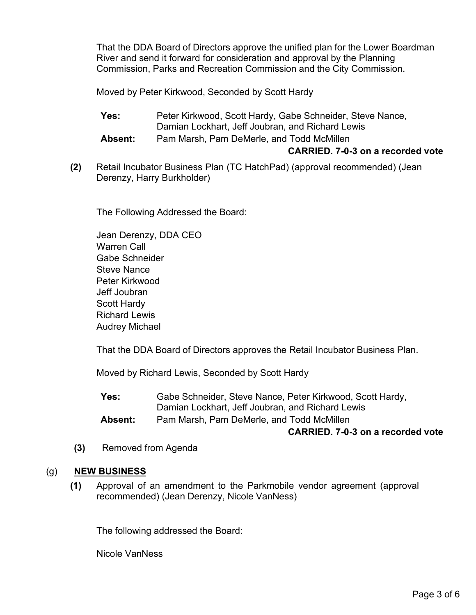That the DDA Board of Directors approve the unified plan for the Lower Boardman River and send it forward for consideration and approval by the Planning Commission, Parks and Recreation Commission and the City Commission.

Moved by Peter Kirkwood, Seconded by Scott Hardy

**Yes:** Peter Kirkwood, Scott Hardy, Gabe Schneider, Steve Nance, Damian Lockhart, Jeff Joubran, and Richard Lewis

**Absent:** Pam Marsh, Pam DeMerle, and Todd McMillen

#### **CARRIED. 7-0-3 on a recorded vote**

**(2)** Retail Incubator Business Plan (TC HatchPad) (approval recommended) (Jean Derenzy, Harry Burkholder)

The Following Addressed the Board:

Jean Derenzy, DDA CEO Warren Call Gabe Schneider Steve Nance Peter Kirkwood Jeff Joubran Scott Hardy Richard Lewis Audrey Michael

That the DDA Board of Directors approves the Retail Incubator Business Plan.

Moved by Richard Lewis, Seconded by Scott Hardy

**Yes:** Gabe Schneider, Steve Nance, Peter Kirkwood, Scott Hardy, Damian Lockhart, Jeff Joubran, and Richard Lewis **Absent:** Pam Marsh, Pam DeMerle, and Todd McMillen

#### **CARRIED. 7-0-3 on a recorded vote**

**(3)** Removed from Agenda

#### (g) **NEW BUSINESS**

**(1)** Approval of an amendment to the Parkmobile vendor agreement (approval recommended) (Jean Derenzy, Nicole VanNess)

The following addressed the Board:

Nicole VanNess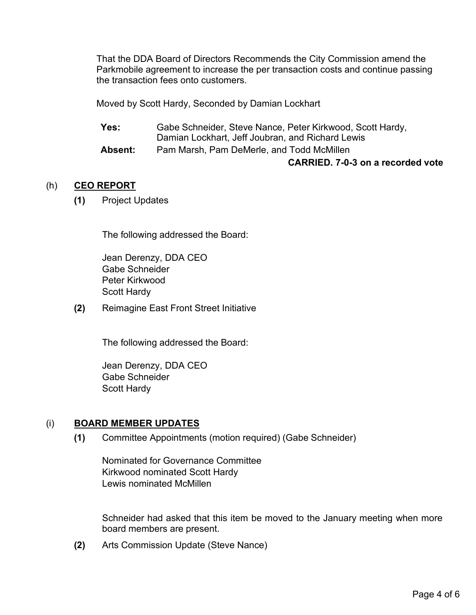That the DDA Board of Directors Recommends the City Commission amend the Parkmobile agreement to increase the per transaction costs and continue passing the transaction fees onto customers.

Moved by Scott Hardy, Seconded by Damian Lockhart

**Yes:** Gabe Schneider, Steve Nance, Peter Kirkwood, Scott Hardy, Damian Lockhart, Jeff Joubran, and Richard Lewis

**Absent:** Pam Marsh, Pam DeMerle, and Todd McMillen

### **CARRIED. 7-0-3 on a recorded vote**

### (h) **CEO REPORT**

**(1)** Project Updates

The following addressed the Board:

Jean Derenzy, DDA CEO Gabe Schneider Peter Kirkwood Scott Hardy

**(2)** Reimagine East Front Street Initiative

The following addressed the Board:

Jean Derenzy, DDA CEO Gabe Schneider Scott Hardy

#### (i) **BOARD MEMBER UPDATES**

**(1)** Committee Appointments (motion required) (Gabe Schneider)

Nominated for Governance Committee Kirkwood nominated Scott Hardy Lewis nominated McMillen

Schneider had asked that this item be moved to the January meeting when more board members are present.

**(2)** Arts Commission Update (Steve Nance)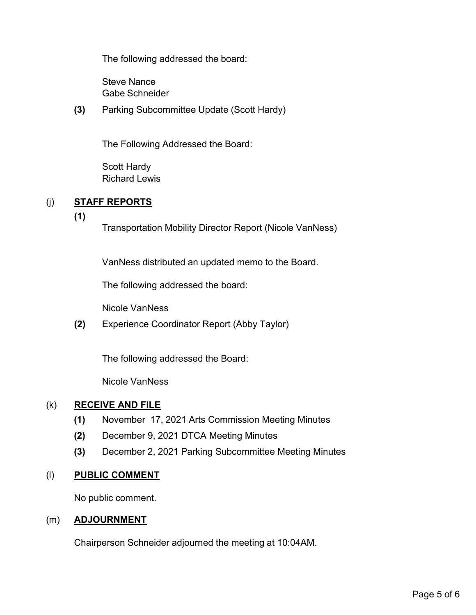The following addressed the board:

Steve Nance Gabe Schneider

**(3)** Parking Subcommittee Update (Scott Hardy)

The Following Addressed the Board:

Scott Hardy Richard Lewis

# (j) **STAFF REPORTS**

**(1)**

Transportation Mobility Director Report (Nicole VanNess)

VanNess distributed an updated memo to the Board.

The following addressed the board:

Nicole VanNess

**(2)** Experience Coordinator Report (Abby Taylor)

The following addressed the Board:

Nicole VanNess

# (k) **RECEIVE AND FILE**

- **(1)** November 17, 2021 Arts Commission Meeting Minutes
- **(2)** December 9, 2021 DTCA Meeting Minutes
- **(3)** December 2, 2021 Parking Subcommittee Meeting Minutes

# (l) **PUBLIC COMMENT**

No public comment.

#### (m) **ADJOURNMENT**

Chairperson Schneider adjourned the meeting at 10:04AM.